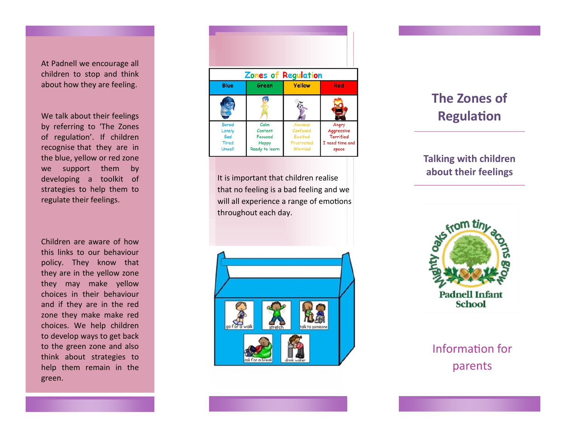At Padnell we encourage all children to stop and think about how they are feeling.

We talk about their feelings by referring to 'The Zones of regulation'. If children recognise that they are in the blue, yellow or red zone we support them by developing a toolkit of strategies to help them to regulate their feelings.

Children are aware of how this links to our behaviour policy. They know that they are in the yellow zone they may make yellow choices in their behaviour and if they are in the red zone they make make red choices. We help children to develop ways to get back to the green zone and also think about strategies to help them remain in the green.



Sa

It is important that children realise that no feeling is a bad feeling and we will all experience a range of emotions throughout each day.



## **The Zones of Regulation**

## **Talking with children about their feelings**



Information for parents